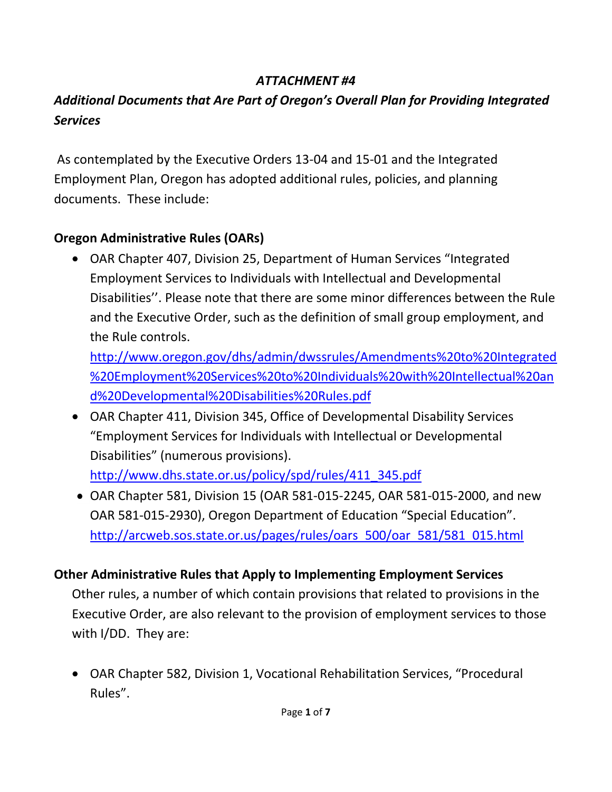#### *ATTACHMENT #4*

### *Additional Documents that Are Part of Oregon's Overall Plan for Providing Integrated Services*

As contemplated by the Executive Orders 13-04 and 15-01 and the Integrated Employment Plan, Oregon has adopted additional rules, policies, and planning documents. These include:

### **Oregon Administrative Rules (OARs)**

OAR Chapter 407, Division 25, Department of Human Services "Integrated Employment Services to Individuals with Intellectual and Developmental Disabilities''. Please note that there are some minor differences between the Rule and the Executive Order, such as the definition of small group employment, and the Rule controls.

[http://www.oregon.gov/dhs/admin/dwssrules/Amendments%20to%20Integrated](http://www.oregon.gov/dhs/admin/dwssrules/Amendments%20to%20Integrated%20Employment%20Services%20to%20Individuals%20with%20Intellectual%20and%20Developmental%20Disabilities%20Rules.pdf) [%20Employment%20Services%20to%20Individuals%20with%20Intellectual%20an](http://www.oregon.gov/dhs/admin/dwssrules/Amendments%20to%20Integrated%20Employment%20Services%20to%20Individuals%20with%20Intellectual%20and%20Developmental%20Disabilities%20Rules.pdf) [d%20Developmental%20Disabilities%20Rules.pdf](http://www.oregon.gov/dhs/admin/dwssrules/Amendments%20to%20Integrated%20Employment%20Services%20to%20Individuals%20with%20Intellectual%20and%20Developmental%20Disabilities%20Rules.pdf)

OAR Chapter 411, Division 345, Office of Developmental Disability Services "Employment Services for Individuals with Intellectual or Developmental Disabilities" (numerous provisions).

[http://www.dhs.state.or.us/policy/spd/rules/411\\_345.pdf](http://www.dhs.state.or.us/policy/spd/rules/411_345.pdf)

OAR Chapter 581, Division 15 (OAR 581-015-2245, OAR 581-015-2000, and new OAR 581-015-2930), Oregon Department of Education "Special Education". [http://arcweb.sos.state.or.us/pages/rules/oars\\_500/oar\\_581/581\\_015.html](http://arcweb.sos.state.or.us/pages/rules/oars_500/oar_581/581_015.html)

#### **Other Administrative Rules that Apply to Implementing Employment Services**

Other rules, a number of which contain provisions that related to provisions in the Executive Order, are also relevant to the provision of employment services to those with I/DD. They are:

OAR Chapter 582, Division 1, Vocational Rehabilitation Services, "Procedural Rules".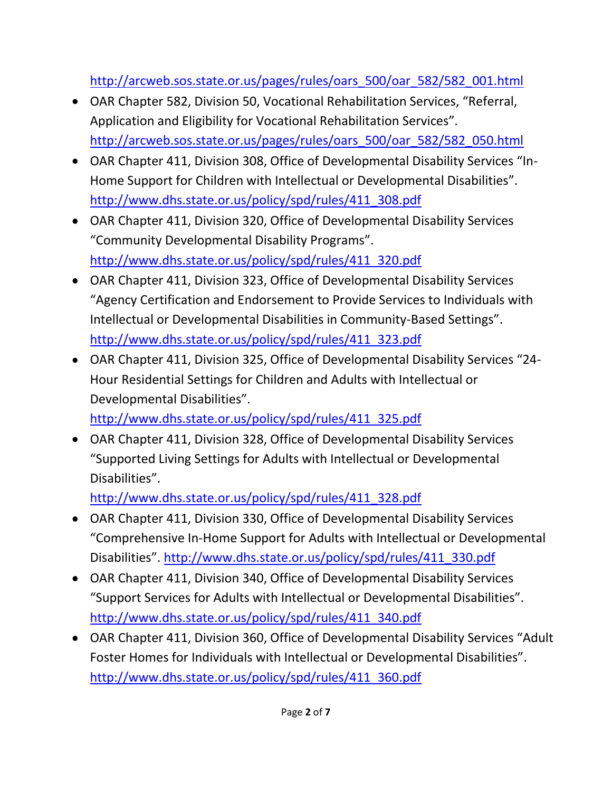[http://arcweb.sos.state.or.us/pages/rules/oars\\_500/oar\\_582/582\\_001.html](http://arcweb.sos.state.or.us/pages/rules/oars_500/oar_582/582_001.html)

- OAR Chapter 582, Division 50, Vocational Rehabilitation Services, "Referral, Application and Eligibility for Vocational Rehabilitation Services". [http://arcweb.sos.state.or.us/pages/rules/oars\\_500/oar\\_582/582\\_050.html](http://arcweb.sos.state.or.us/pages/rules/oars_500/oar_582/582_050.html)
- OAR Chapter 411, Division 308, Office of Developmental Disability Services "In-Home Support for Children with Intellectual or Developmental Disabilities". [http://www.dhs.state.or.us/policy/spd/rules/411\\_308.pdf](http://www.dhs.state.or.us/policy/spd/rules/411_308.pdf)
- OAR Chapter 411, Division 320, Office of Developmental Disability Services "Community Developmental Disability Programs". [http://www.dhs.state.or.us/policy/spd/rules/411\\_320.pdf](http://www.dhs.state.or.us/policy/spd/rules/411_320.pdf)
- OAR Chapter 411, Division 323, Office of Developmental Disability Services "Agency Certification and Endorsement to Provide Services to Individuals with Intellectual or Developmental Disabilities in Community-Based Settings". [http://www.dhs.state.or.us/policy/spd/rules/411\\_323.pdf](http://www.dhs.state.or.us/policy/spd/rules/411_323.pdf)
- OAR Chapter 411, Division 325, Office of Developmental Disability Services "24- Hour Residential Settings for Children and Adults with Intellectual or Developmental Disabilities".

[http://www.dhs.state.or.us/policy/spd/rules/411\\_325.pdf](http://www.dhs.state.or.us/policy/spd/rules/411_325.pdf)

OAR Chapter 411, Division 328, Office of Developmental Disability Services "Supported Living Settings for Adults with Intellectual or Developmental Disabilities".

[http://www.dhs.state.or.us/policy/spd/rules/411\\_328.pdf](http://www.dhs.state.or.us/policy/spd/rules/411_328.pdf)

- OAR Chapter 411, Division 330, Office of Developmental Disability Services "Comprehensive In-Home Support for Adults with Intellectual or Developmental Disabilities". [http://www.dhs.state.or.us/policy/spd/rules/411\\_330.pdf](http://www.dhs.state.or.us/policy/spd/rules/411_330.pdf)
- OAR Chapter 411, Division 340, Office of Developmental Disability Services "Support Services for Adults with Intellectual or Developmental Disabilities". [http://www.dhs.state.or.us/policy/spd/rules/411\\_340.pdf](http://www.dhs.state.or.us/policy/spd/rules/411_340.pdf)
- OAR Chapter 411, Division 360, Office of Developmental Disability Services "Adult Foster Homes for Individuals with Intellectual or Developmental Disabilities". [http://www.dhs.state.or.us/policy/spd/rules/411\\_360.pdf](http://www.dhs.state.or.us/policy/spd/rules/411_360.pdf)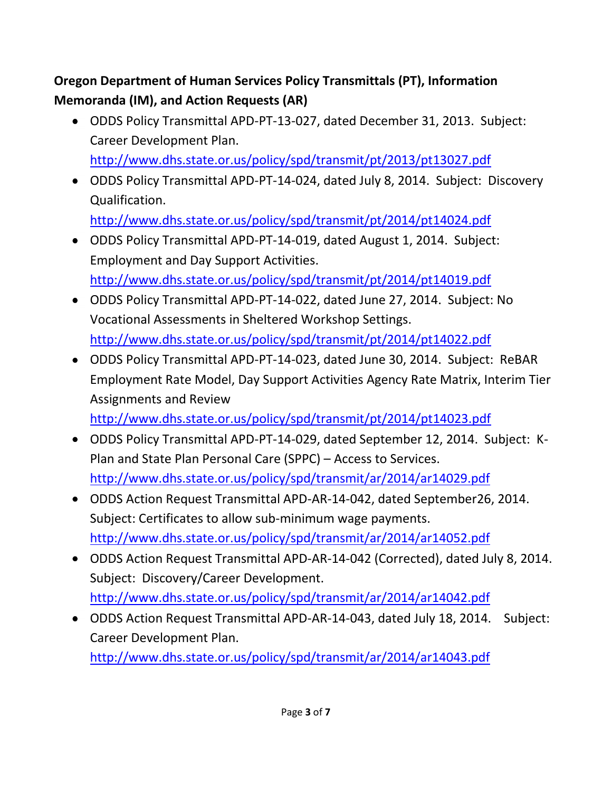# **Oregon Department of Human Services Policy Transmittals (PT), Information Memoranda (IM), and Action Requests (AR)**

ODDS Policy Transmittal APD-PT-13-027, dated December 31, 2013. Subject: Career Development Plan.

<http://www.dhs.state.or.us/policy/spd/transmit/pt/2013/pt13027.pdf>

ODDS Policy Transmittal APD-PT-14-024, dated July 8, 2014. Subject: Discovery Qualification.

<http://www.dhs.state.or.us/policy/spd/transmit/pt/2014/pt14024.pdf>

- ODDS Policy Transmittal APD-PT-14-019, dated August 1, 2014. Subject: Employment and Day Support Activities. <http://www.dhs.state.or.us/policy/spd/transmit/pt/2014/pt14019.pdf>
- ODDS Policy Transmittal APD-PT-14-022, dated June 27, 2014. Subject: No Vocational Assessments in Sheltered Workshop Settings. <http://www.dhs.state.or.us/policy/spd/transmit/pt/2014/pt14022.pdf>
- ODDS Policy Transmittal APD-PT-14-023, dated June 30, 2014. Subject: ReBAR Employment Rate Model, Day Support Activities Agency Rate Matrix, Interim Tier Assignments and Review

<http://www.dhs.state.or.us/policy/spd/transmit/pt/2014/pt14023.pdf>

- ODDS Policy Transmittal APD-PT-14-029, dated September 12, 2014. Subject: K-Plan and State Plan Personal Care (SPPC) – Access to Services. <http://www.dhs.state.or.us/policy/spd/transmit/ar/2014/ar14029.pdf>
- ODDS Action Request Transmittal APD-AR-14-042, dated September26, 2014. Subject: Certificates to allow sub-minimum wage payments. <http://www.dhs.state.or.us/policy/spd/transmit/ar/2014/ar14052.pdf>
- ODDS Action Request Transmittal APD-AR-14-042 (Corrected), dated July 8, 2014. Subject: Discovery/Career Development. <http://www.dhs.state.or.us/policy/spd/transmit/ar/2014/ar14042.pdf>
- ODDS Action Request Transmittal APD-AR-14-043, dated July 18, 2014. Subject: Career Development Plan. <http://www.dhs.state.or.us/policy/spd/transmit/ar/2014/ar14043.pdf>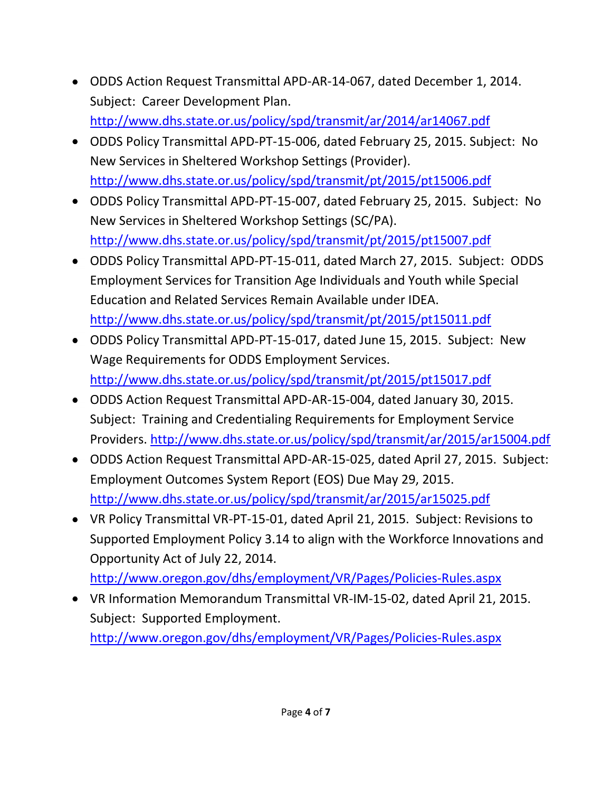- ODDS Action Request Transmittal APD-AR-14-067, dated December 1, 2014. Subject: Career Development Plan. <http://www.dhs.state.or.us/policy/spd/transmit/ar/2014/ar14067.pdf>
- ODDS Policy Transmittal APD-PT-15-006, dated February 25, 2015. Subject: No New Services in Sheltered Workshop Settings (Provider). <http://www.dhs.state.or.us/policy/spd/transmit/pt/2015/pt15006.pdf>
- ODDS Policy Transmittal APD-PT-15-007, dated February 25, 2015. Subject: No New Services in Sheltered Workshop Settings (SC/PA). <http://www.dhs.state.or.us/policy/spd/transmit/pt/2015/pt15007.pdf>
- ODDS Policy Transmittal APD-PT-15-011, dated March 27, 2015. Subject: ODDS Employment Services for Transition Age Individuals and Youth while Special Education and Related Services Remain Available under IDEA. <http://www.dhs.state.or.us/policy/spd/transmit/pt/2015/pt15011.pdf>
- ODDS Policy Transmittal APD-PT-15-017, dated June 15, 2015. Subject: New Wage Requirements for ODDS Employment Services. <http://www.dhs.state.or.us/policy/spd/transmit/pt/2015/pt15017.pdf>
- ODDS Action Request Transmittal APD-AR-15-004, dated January 30, 2015. Subject: Training and Credentialing Requirements for Employment Service Providers.<http://www.dhs.state.or.us/policy/spd/transmit/ar/2015/ar15004.pdf>
- ODDS Action Request Transmittal APD-AR-15-025, dated April 27, 2015. Subject: Employment Outcomes System Report (EOS) Due May 29, 2015. <http://www.dhs.state.or.us/policy/spd/transmit/ar/2015/ar15025.pdf>
- VR Policy Transmittal VR-PT-15-01, dated April 21, 2015. Subject: Revisions to Supported Employment Policy 3.14 to align with the Workforce Innovations and Opportunity Act of July 22, 2014.
	- <http://www.oregon.gov/dhs/employment/VR/Pages/Policies-Rules.aspx>
- VR Information Memorandum Transmittal VR-IM-15-02, dated April 21, 2015. Subject: Supported Employment. <http://www.oregon.gov/dhs/employment/VR/Pages/Policies-Rules.aspx>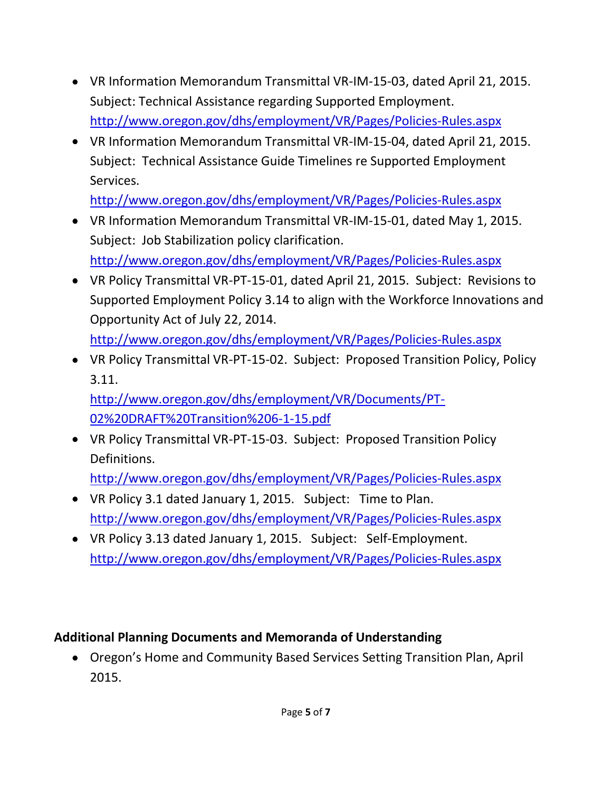- VR Information Memorandum Transmittal VR-IM-15-03, dated April 21, 2015. Subject: Technical Assistance regarding Supported Employment. <http://www.oregon.gov/dhs/employment/VR/Pages/Policies-Rules.aspx>
- VR Information Memorandum Transmittal VR-IM-15-04, dated April 21, 2015. Subject: Technical Assistance Guide Timelines re Supported Employment Services.

<http://www.oregon.gov/dhs/employment/VR/Pages/Policies-Rules.aspx>

- VR Information Memorandum Transmittal VR-IM-15-01, dated May 1, 2015. Subject: Job Stabilization policy clarification. <http://www.oregon.gov/dhs/employment/VR/Pages/Policies-Rules.aspx>
- VR Policy Transmittal VR-PT-15-01, dated April 21, 2015. Subject: Revisions to Supported Employment Policy 3.14 to align with the Workforce Innovations and Opportunity Act of July 22, 2014. <http://www.oregon.gov/dhs/employment/VR/Pages/Policies-Rules.aspx>
- VR Policy Transmittal VR-PT-15-02. Subject: Proposed Transition Policy, Policy 3.11.

[http://www.oregon.gov/dhs/employment/VR/Documents/PT-](http://www.oregon.gov/dhs/employment/VR/Documents/PT-02%20DRAFT%20Transition%206-1-15.pdf)[02%20DRAFT%20Transition%206-1-15.pdf](http://www.oregon.gov/dhs/employment/VR/Documents/PT-02%20DRAFT%20Transition%206-1-15.pdf)

- VR Policy Transmittal VR-PT-15-03. Subject: Proposed Transition Policy Definitions. <http://www.oregon.gov/dhs/employment/VR/Pages/Policies-Rules.aspx>
- VR Policy 3.1 dated January 1, 2015. Subject: Time to Plan. <http://www.oregon.gov/dhs/employment/VR/Pages/Policies-Rules.aspx>
- VR Policy 3.13 dated January 1, 2015. Subject: Self-Employment. <http://www.oregon.gov/dhs/employment/VR/Pages/Policies-Rules.aspx>

### **Additional Planning Documents and Memoranda of Understanding**

Oregon's Home and Community Based Services Setting Transition Plan, April 2015.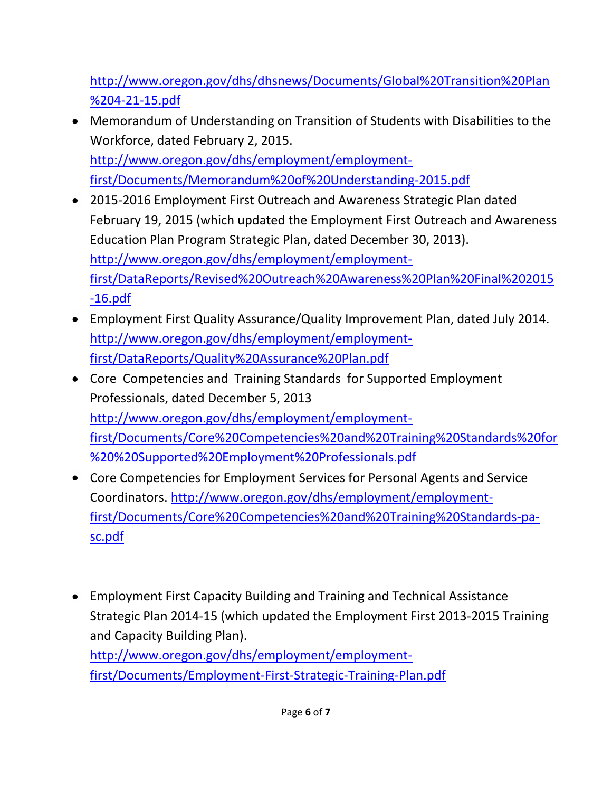[http://www.oregon.gov/dhs/dhsnews/Documents/Global%20Transition%20Plan](http://www.oregon.gov/dhs/dhsnews/Documents/Global%20Transition%20Plan%204-21-15.pdf) [%204-21-15.pdf](http://www.oregon.gov/dhs/dhsnews/Documents/Global%20Transition%20Plan%204-21-15.pdf)

- Memorandum of Understanding on Transition of Students with Disabilities to the Workforce, dated February 2, 2015. [http://www.oregon.gov/dhs/employment/employment](http://www.oregon.gov/dhs/employment/employment-first/Documents/Memorandum%20of%20Understanding-2015.pdf)[first/Documents/Memorandum%20of%20Understanding-2015.pdf](http://www.oregon.gov/dhs/employment/employment-first/Documents/Memorandum%20of%20Understanding-2015.pdf)
- 2015-2016 Employment First Outreach and Awareness Strategic Plan dated February 19, 2015 (which updated the Employment First Outreach and Awareness Education Plan Program Strategic Plan, dated December 30, 2013). [http://www.oregon.gov/dhs/employment/employment](http://www.oregon.gov/dhs/employment/employment-first/DataReports/Revised%20Outreach%20Awareness%20Plan%20Final%202015-16.pdf)[first/DataReports/Revised%20Outreach%20Awareness%20Plan%20Final%202015](http://www.oregon.gov/dhs/employment/employment-first/DataReports/Revised%20Outreach%20Awareness%20Plan%20Final%202015-16.pdf) [-16.pdf](http://www.oregon.gov/dhs/employment/employment-first/DataReports/Revised%20Outreach%20Awareness%20Plan%20Final%202015-16.pdf)
- Employment First Quality Assurance/Quality Improvement Plan, dated July 2014. [http://www.oregon.gov/dhs/employment/employment](http://www.oregon.gov/dhs/employment/employment-first/DataReports/Quality%20Assurance%20Plan.pdf)[first/DataReports/Quality%20Assurance%20Plan.pdf](http://www.oregon.gov/dhs/employment/employment-first/DataReports/Quality%20Assurance%20Plan.pdf)
- Core Competencies and Training Standards for Supported Employment Professionals, dated December 5, 2013 [http://www.oregon.gov/dhs/employment/employment](http://www.oregon.gov/dhs/employment/employment-first/Documents/Core%20Competencies%20and%20Training%20Standards%20for%20%20Supported%20Employment%20Professionals.pdf)[first/Documents/Core%20Competencies%20and%20Training%20Standards%20for](http://www.oregon.gov/dhs/employment/employment-first/Documents/Core%20Competencies%20and%20Training%20Standards%20for%20%20Supported%20Employment%20Professionals.pdf) [%20%20Supported%20Employment%20Professionals.pdf](http://www.oregon.gov/dhs/employment/employment-first/Documents/Core%20Competencies%20and%20Training%20Standards%20for%20%20Supported%20Employment%20Professionals.pdf)
- Core Competencies for Employment Services for Personal Agents and Service Coordinators. [http://www.oregon.gov/dhs/employment/employment](http://www.oregon.gov/dhs/employment/employment-first/Documents/Core%20Competencies%20and%20Training%20Standards-pa-sc.pdf)[first/Documents/Core%20Competencies%20and%20Training%20Standards-pa](http://www.oregon.gov/dhs/employment/employment-first/Documents/Core%20Competencies%20and%20Training%20Standards-pa-sc.pdf)[sc.pdf](http://www.oregon.gov/dhs/employment/employment-first/Documents/Core%20Competencies%20and%20Training%20Standards-pa-sc.pdf)
- Employment First Capacity Building and Training and Technical Assistance Strategic Plan 2014-15 (which updated the Employment First 2013-2015 Training and Capacity Building Plan). [http://www.oregon.gov/dhs/employment/employment](http://www.oregon.gov/dhs/employment/employment-first/Documents/Employment-First-Strategic-Training-Plan.pdf)[first/Documents/Employment-First-Strategic-Training-Plan.pdf](http://www.oregon.gov/dhs/employment/employment-first/Documents/Employment-First-Strategic-Training-Plan.pdf)